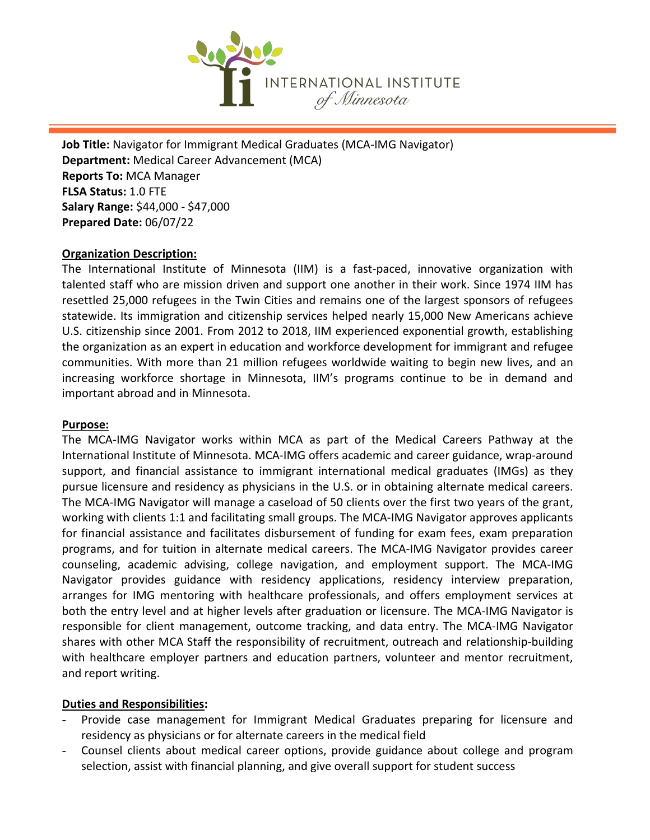

**Job Title:** Navigator for Immigrant Medical Graduates (MCA-IMG Navigator) **Department:** Medical Career Advancement (MCA) **Reports To:** MCA Manager **FLSA Status:** 1.0 FTE **Salary Range:** \$44,000 - \$47,000 **Prepared Date:** 06/07/22

## **Organization Description:**

The International Institute of Minnesota (IIM) is a fast-paced, innovative organization with talented staff who are mission driven and support one another in their work. Since 1974 IIM has resettled 25,000 refugees in the Twin Cities and remains one of the largest sponsors of refugees statewide. Its immigration and citizenship services helped nearly 15,000 New Americans achieve U.S. citizenship since 2001. From 2012 to 2018, IIM experienced exponential growth, establishing the organization as an expert in education and workforce development for immigrant and refugee communities. With more than 21 million refugees worldwide waiting to begin new lives, and an increasing workforce shortage in Minnesota, IIM's programs continue to be in demand and important abroad and in Minnesota.

#### **Purpose:**

The MCA-IMG Navigator works within MCA as part of the Medical Careers Pathway at the International Institute of Minnesota. MCA-IMG offers academic and career guidance, wrap-around support, and financial assistance to immigrant international medical graduates (IMGs) as they pursue licensure and residency as physicians in the U.S. or in obtaining alternate medical careers. The MCA-IMG Navigator will manage a caseload of 50 clients over the first two years of the grant, working with clients 1:1 and facilitating small groups. The MCA-IMG Navigator approves applicants for financial assistance and facilitates disbursement of funding for exam fees, exam preparation programs, and for tuition in alternate medical careers. The MCA-IMG Navigator provides career counseling, academic advising, college navigation, and employment support. The MCA-IMG Navigator provides guidance with residency applications, residency interview preparation, arranges for IMG mentoring with healthcare professionals, and offers employment services at both the entry level and at higher levels after graduation or licensure. The MCA-IMG Navigator is responsible for client management, outcome tracking, and data entry. The MCA-IMG Navigator shares with other MCA Staff the responsibility of recruitment, outreach and relationship-building with healthcare employer partners and education partners, volunteer and mentor recruitment, and report writing.

## **Duties and Responsibilities:**

- Provide case management for Immigrant Medical Graduates preparing for licensure and residency as physicians or for alternate careers in the medical field
- Counsel clients about medical career options, provide guidance about college and program selection, assist with financial planning, and give overall support for student success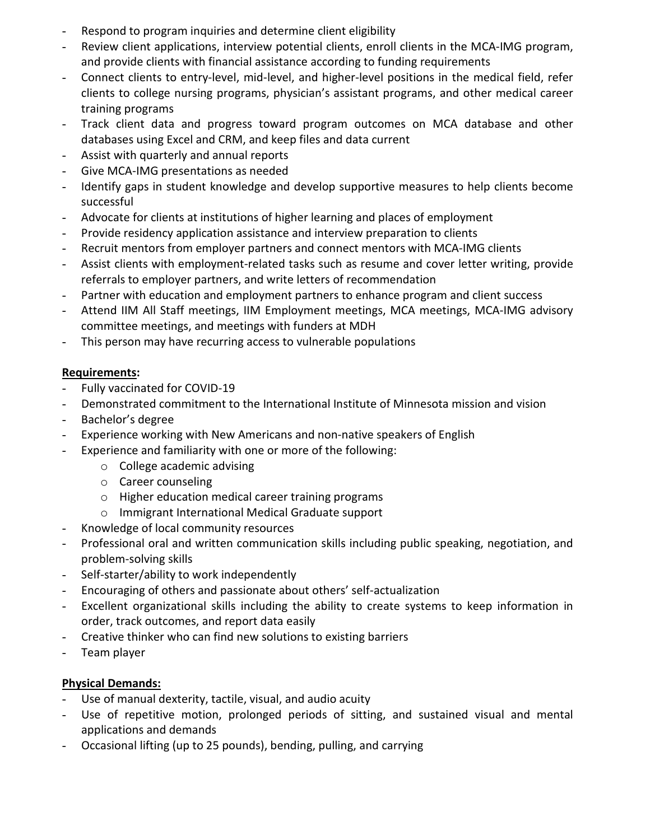- Respond to program inquiries and determine client eligibility
- Review client applications, interview potential clients, enroll clients in the MCA-IMG program, and provide clients with financial assistance according to funding requirements
- Connect clients to entry-level, mid-level, and higher-level positions in the medical field, refer clients to college nursing programs, physician's assistant programs, and other medical career training programs
- Track client data and progress toward program outcomes on MCA database and other databases using Excel and CRM, and keep files and data current
- Assist with quarterly and annual reports
- Give MCA-IMG presentations as needed
- Identify gaps in student knowledge and develop supportive measures to help clients become successful
- Advocate for clients at institutions of higher learning and places of employment
- Provide residency application assistance and interview preparation to clients
- Recruit mentors from employer partners and connect mentors with MCA-IMG clients
- Assist clients with employment-related tasks such as resume and cover letter writing, provide referrals to employer partners, and write letters of recommendation
- Partner with education and employment partners to enhance program and client success
- Attend IIM All Staff meetings, IIM Employment meetings, MCA meetings, MCA-IMG advisory committee meetings, and meetings with funders at MDH
- This person may have recurring access to vulnerable populations

## **Requirements:**

- Fully vaccinated for COVID-19
- Demonstrated commitment to the International Institute of Minnesota mission and vision
- Bachelor's degree
- Experience working with New Americans and non-native speakers of English
- Experience and familiarity with one or more of the following:
	- o College academic advising
	- o Career counseling
	- o Higher education medical career training programs
	- o Immigrant International Medical Graduate support
- Knowledge of local community resources
- Professional oral and written communication skills including public speaking, negotiation, and problem-solving skills
- Self-starter/ability to work independently
- Encouraging of others and passionate about others' self-actualization
- Excellent organizational skills including the ability to create systems to keep information in order, track outcomes, and report data easily
- Creative thinker who can find new solutions to existing barriers
- Team player

# **Physical Demands:**

- Use of manual dexterity, tactile, visual, and audio acuity
- Use of repetitive motion, prolonged periods of sitting, and sustained visual and mental applications and demands
- Occasional lifting (up to 25 pounds), bending, pulling, and carrying